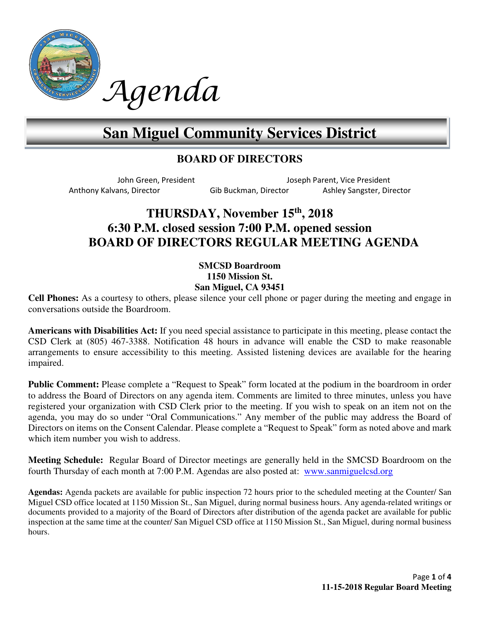

# **San Miguel Community Services District**

## **BOARD OF DIRECTORS**

John Green, President Joseph Parent, Vice President Anthony Kalvans, Director Gib Buckman, Director Ashley Sangster, Director

## **THURSDAY, November 15th, 2018 6:30 P.M. closed session 7:00 P.M. opened session BOARD OF DIRECTORS REGULAR MEETING AGENDA**

### **SMCSD Boardroom 1150 Mission St. San Miguel, CA 93451**

**Cell Phones:** As a courtesy to others, please silence your cell phone or pager during the meeting and engage in conversations outside the Boardroom.

**Americans with Disabilities Act:** If you need special assistance to participate in this meeting, please contact the CSD Clerk at (805) 467-3388. Notification 48 hours in advance will enable the CSD to make reasonable arrangements to ensure accessibility to this meeting. Assisted listening devices are available for the hearing impaired.

**Public Comment:** Please complete a "Request to Speak" form located at the podium in the boardroom in order to address the Board of Directors on any agenda item. Comments are limited to three minutes, unless you have registered your organization with CSD Clerk prior to the meeting. If you wish to speak on an item not on the agenda, you may do so under "Oral Communications." Any member of the public may address the Board of Directors on items on the Consent Calendar. Please complete a "Request to Speak" form as noted above and mark which item number you wish to address.

**Meeting Schedule:** Regular Board of Director meetings are generally held in the SMCSD Boardroom on the fourth Thursday of each month at 7:00 P.M. Agendas are also posted at: www.sanmiguelcsd.org

**Agendas:** Agenda packets are available for public inspection 72 hours prior to the scheduled meeting at the Counter/ San Miguel CSD office located at 1150 Mission St., San Miguel, during normal business hours. Any agenda-related writings or documents provided to a majority of the Board of Directors after distribution of the agenda packet are available for public inspection at the same time at the counter/ San Miguel CSD office at 1150 Mission St., San Miguel, during normal business hours.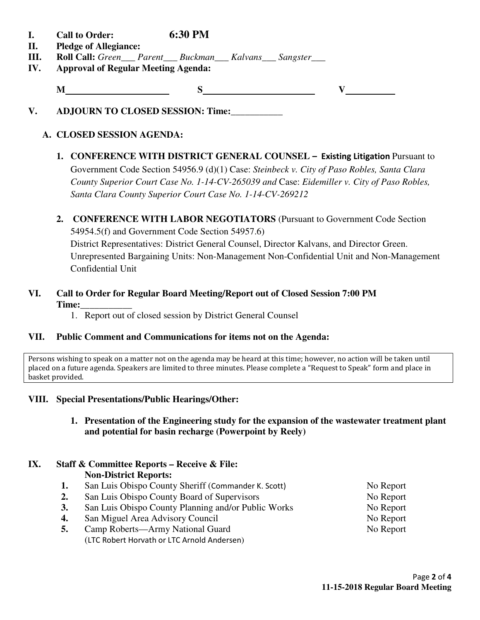- **I. Call to Order: 6:30 PM**
- **II. Pledge of Allegiance:**
- **III. Roll Call:** *Green\_\_\_ Parent\_\_\_ Buckman\_\_\_ Kalvans\_\_\_ Sangster\_\_\_*
- **IV. Approval of Regular Meeting Agenda:**

**M** S V

**V. ADJOURN TO CLOSED SESSION: Time:\_\_\_\_\_\_\_\_\_\_\_** 

## **A. CLOSED SESSION AGENDA:**

- **1. CONFERENCE WITH DISTRICT GENERAL COUNSEL Existing Litigation Pursuant to** Government Code Section 54956.9 (d)(1) Case: *Steinbeck v. City of Paso Robles, Santa Clara County Superior Court Case No. 1-14-CV-265039 and* Case: *Eidemiller v. City of Paso Robles, Santa Clara County Superior Court Case No. 1-14-CV-269212*
- **2. CONFERENCE WITH LABOR NEGOTIATORS** (Pursuant to Government Code Section 54954.5(f) and Government Code Section 54957.6) District Representatives: District General Counsel, Director Kalvans, and Director Green. Unrepresented Bargaining Units: Non-Management Non-Confidential Unit and Non-Management Confidential Unit

## **VI. Call to Order for Regular Board Meeting/Report out of Closed Session 7:00 PM Time:\_\_\_\_\_\_\_\_\_\_\_**

1. Report out of closed session by District General Counsel

## **VII. Public Comment and Communications for items not on the Agenda:**

Persons wishing to speak on a matter not on the agenda may be heard at this time; however, no action will be taken until placed on a future agenda. Speakers are limited to three minutes. Please complete a "Request to Speak" form and place in basket provided.

## **VIII. Special Presentations/Public Hearings/Other:**

**1. Presentation of the Engineering study for the expansion of the wastewater treatment plant and potential for basin recharge (Powerpoint by Reely)** 

#### **IX. Staff & Committee Reports – Receive & File: Non-District Reports:**

- 1. San Luis Obispo County Sheriff (Commander K. Scott) No Report
- 2. San Luis Obispo County Board of Supervisors No Report
- **3.** San Luis Obispo County Planning and/or Public Works No Report
- **4.** San Miguel Area Advisory Council No Report
- **5.** Camp Roberts—Army National Guard No Report (LTC Robert Horvath or LTC Arnold Andersen)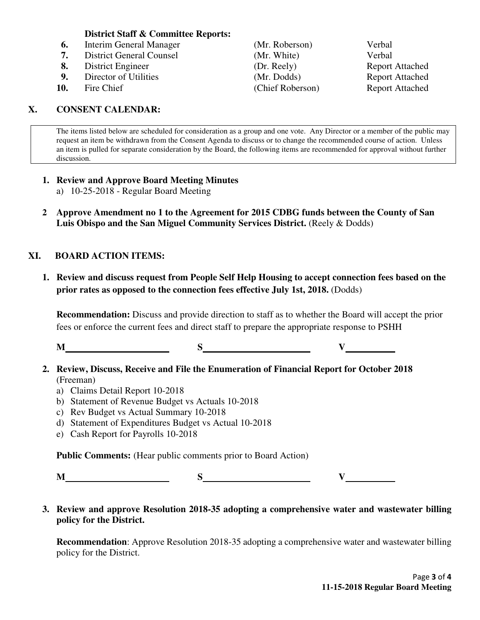#### **District Staff & Committee Reports:**

- **6.** Interim General Manager (Mr. Roberson) Verbal
- **7.** District General Counsel (Mr. White)Verbal
- **8.** District Engineer (Dr. Reely) Report Attached
- **9.** Director of Utilities (Mr. Dodds) Report Attached
- 

## **X. CONSENT CALENDAR:**

**10.** Fire Chief (Chief Roberson) Report Attached

The items listed below are scheduled for consideration as a group and one vote. Any Director or a member of the public may request an item be withdrawn from the Consent Agenda to discuss or to change the recommended course of action. Unless an item is pulled for separate consideration by the Board, the following items are recommended for approval without further discussion.

## **1. Review and Approve Board Meeting Minutes**

- a) 10-25-2018 Regular Board Meeting
- **2 Approve Amendment no 1 to the Agreement for 2015 CDBG funds between the County of San Luis Obispo and the San Miguel Community Services District.** (Reely & Dodds)

## **XI. BOARD ACTION ITEMS:**

**1. Review and discuss request from People Self Help Housing to accept connection fees based on the prior rates as opposed to the connection fees effective July 1st, 2018.** (Dodds)

**Recommendation:** Discuss and provide direction to staff as to whether the Board will accept the prior fees or enforce the current fees and direct staff to prepare the appropriate response to PSHH

**M** S V

- **2. Review, Discuss, Receive and File the Enumeration of Financial Report for October 2018**  (Freeman)
	- a) Claims Detail Report 10-2018
	- b) Statement of Revenue Budget vs Actuals 10-2018
	- c) Rev Budget vs Actual Summary 10-2018
	- d) Statement of Expenditures Budget vs Actual 10-2018
	- e) Cash Report for Payrolls 10-2018

**Public Comments:** (Hear public comments prior to Board Action)

**M S V** 

**3. Review and approve Resolution 2018-35 adopting a comprehensive water and wastewater billing policy for the District.** 

**Recommendation**: Approve Resolution 2018-35 adopting a comprehensive water and wastewater billing policy for the District.